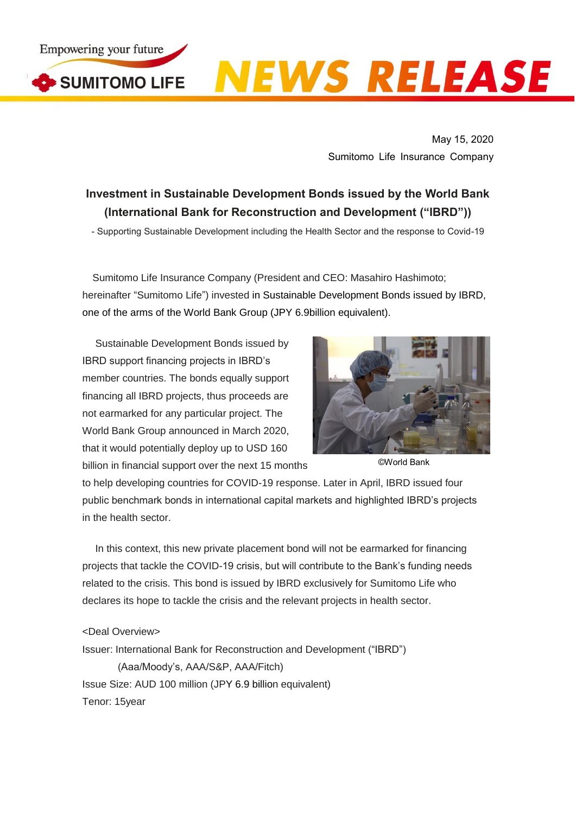

SUMITOMO LIFE

## **NEWS RELEASE**

May 15, 2020 Sumitomo Life Insurance Company

## **Investment in Sustainable Development Bonds issued by the World Bank (International Bank for Reconstruction and Development ("IBRD"))**

- Supporting Sustainable Development including the Health Sector and the response to Covid-19

Sumitomo Life Insurance Company (President and CEO: Masahiro Hashimoto; hereinafter "Sumitomo Life") invested in Sustainable Development Bonds issued by IBRD, one of the arms of the World Bank Group (JPY 6.9billion equivalent).

Sustainable Development Bonds issued by IBRD support financing projects in IBRD's member countries. The bonds equally support financing all IBRD projects, thus proceeds are not earmarked for any particular project. The World Bank Group announced in March 2020, that it would potentially deploy up to USD 160 billion in financial support over the next 15 months



©World Bank

to help developing countries for COVID-19 response. Later in April, IBRD issued four public benchmark bonds in international capital markets and highlighted IBRD's projects in the health sector.

In this context, this new private placement bond will not be earmarked for financing projects that tackle the COVID-19 crisis, but will contribute to the Bank's funding needs related to the crisis. This bond is issued by IBRD exclusively for Sumitomo Life who declares its hope to tackle the crisis and the relevant projects in health sector.

## <Deal Overview>

Issuer: International Bank for Reconstruction and Development ("IBRD") (Aaa/Moody's, AAA/S&P, AAA/Fitch) Issue Size: AUD 100 million (JPY 6.9 billion equivalent) Tenor: 15year